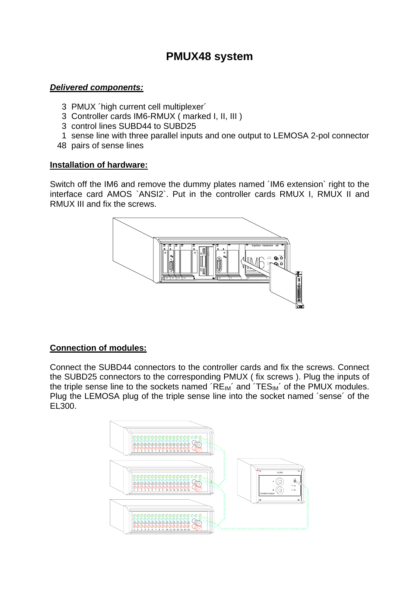# **PMUX48 system**

#### *Delivered components:*

- 3 PMUX ´high current cell multiplexer´
- 3 Controller cards IM6-RMUX ( marked I, II, III )
- 3 control lines SUBD44 to SUBD25
- 1 sense line with three parallel inputs and one output to LEMOSA 2-pol connector
- 48 pairs of sense lines

#### **Installation of hardware:**

Switch off the IM6 and remove the dummy plates named ´IM6 extension` right to the interface card AMOS `ANSI2`. Put in the controller cards RMUX I, RMUX II and RMUX III and fix the screws.



# **Connection of modules:**

Connect the SUBD44 connectors to the controller cards and fix the screws. Connect the SUBD25 connectors to the corresponding PMUX ( fix screws ). Plug the inputs of the triple sense line to the sockets named  $\widetilde{RE}_{IM}$  and  $\widetilde{TES}_{IM}$  of the PMUX modules. Plug the LEMOSA plug of the triple sense line into the socket named ´sense´ of the EL300.

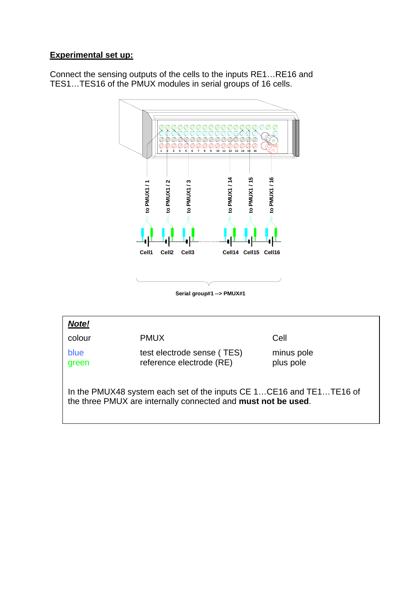# **Experimental set up:**

Connect the sensing outputs of the cells to the inputs RE1…RE16 and TES1…TES16 of the PMUX modules in serial groups of 16 cells.



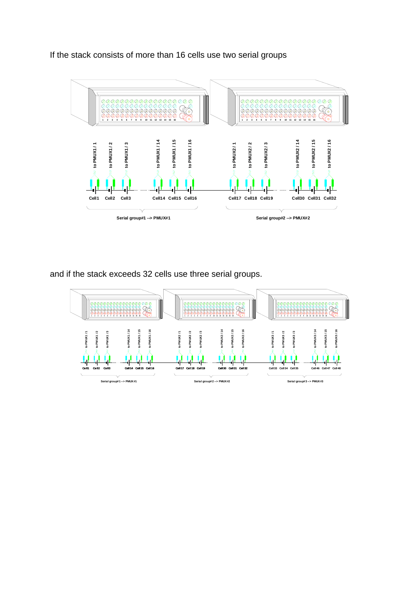If the stack consists of more than 16 cells use two serial groups



and if the stack exceeds 32 cells use three serial groups.

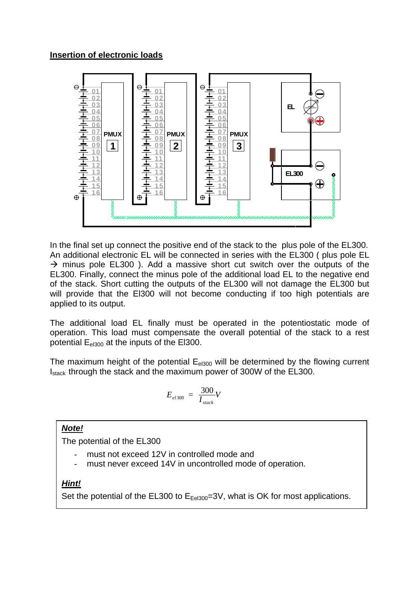

In the final set up connect the positive end of the stack to the plus pole of the EL300. An additional electronic EL will be connected in series with the EL300 ( plus pole EL  $\rightarrow$  minus pole EL300 ). Add a massive short cut switch over the outputs of the EL300. Finally, connect the minus pole of the additional load EL to the negative end of the stack. Short cutting the outputs of the EL300 will not damage the EL300 but will provide that the El300 will not become conducting if too high potentials are applied to its output.

The additional load EL finally must be operated in the potentiostatic mode of operation. This load must compensate the overall potential of the stack to a rest potential E<sub>el300</sub> at the inputs of the El300.

The maximum height of the potential  $E_{el300}$  will be determined by the flowing current I<sub>stack</sub> through the stack and the maximum power of 300W of the EL300.

$$
E_{el300} = \frac{300}{I_{stack}}V
$$

# *Note!*

The potential of the EL300

- must not exceed 12V in controlled mode and
- must never exceed 14V in uncontrolled mode of operation.

# *Hint!*

Set the potential of the EL300 to  $E_{Eel300}$ =3V, what is OK for most applications.